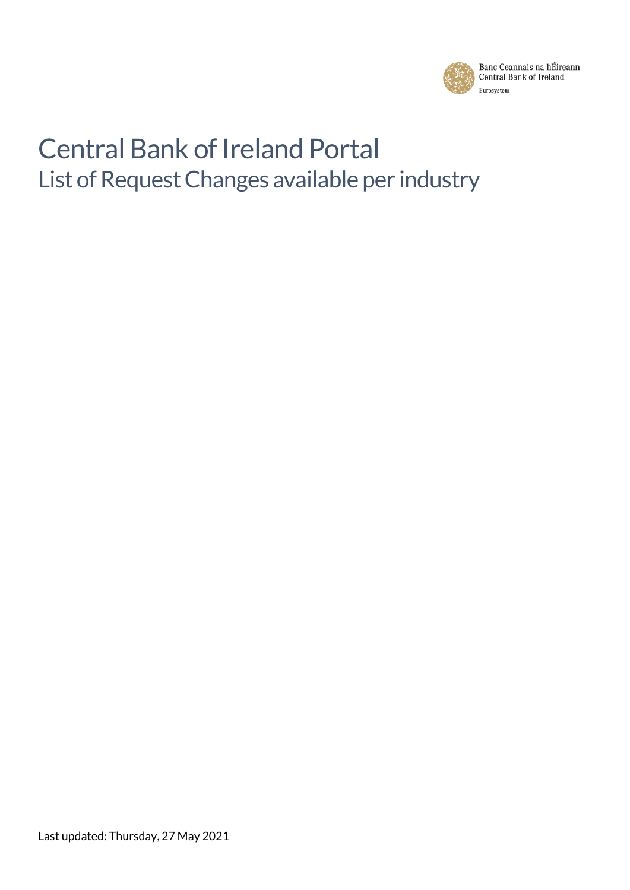

# Central Bank of Ireland Portal List of Request Changes available per industry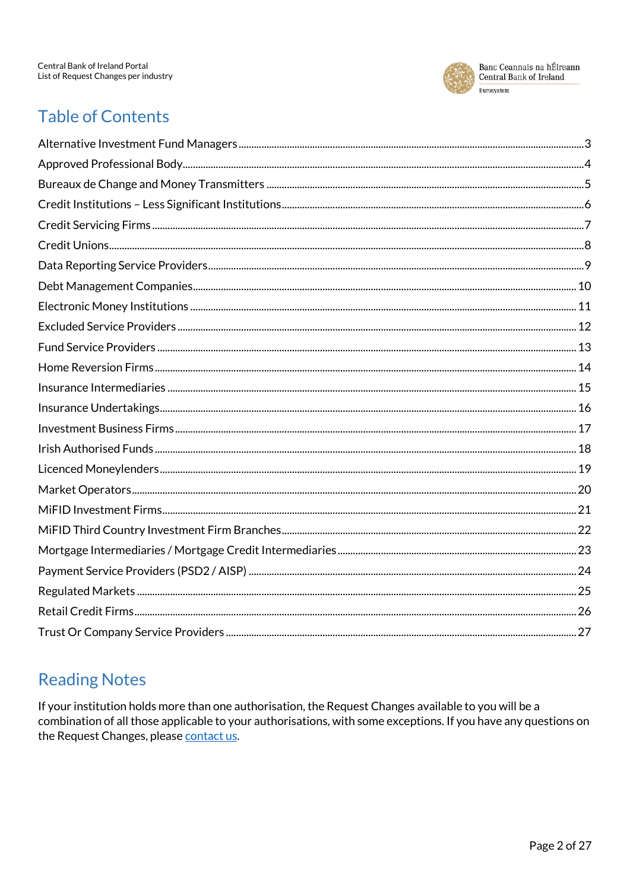

## **Table of Contents**

## **Reading Notes**

If your institution holds more than one authorisation, the Request Changes available to you will be a combination of all those applicable to your authorisations, with some exceptions. If you have any questions on the Request Changes, please contact us.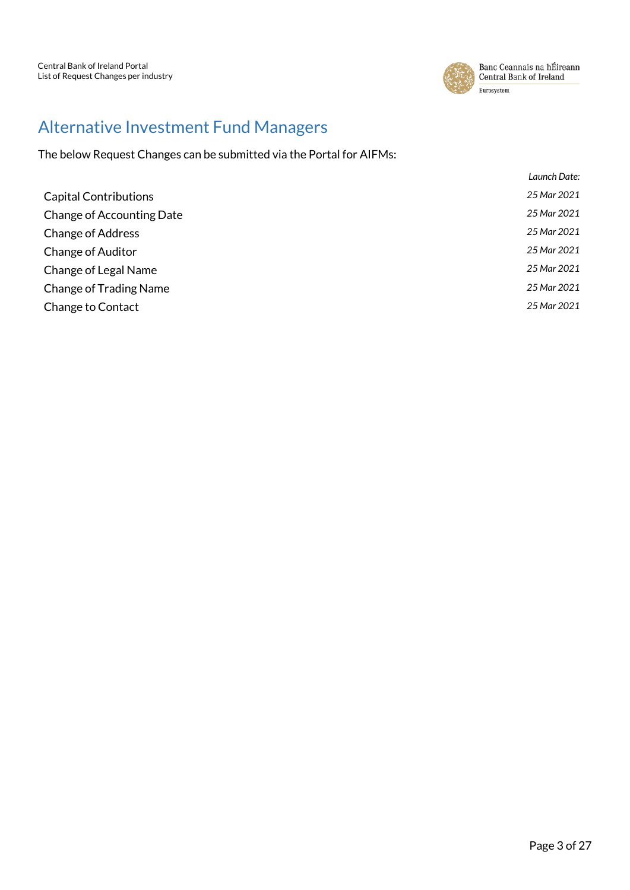

#### <span id="page-2-0"></span>Alternative Investment Fund Managers

| Launch Date:                                    |  |
|-------------------------------------------------|--|
| 25 Mar 2021<br><b>Capital Contributions</b>     |  |
| 25 Mar 2021<br><b>Change of Accounting Date</b> |  |
| 25 Mar 2021<br><b>Change of Address</b>         |  |
| 25 Mar 2021<br><b>Change of Auditor</b>         |  |
| 25 Mar 2021<br>Change of Legal Name             |  |
| 25 Mar 2021<br><b>Change of Trading Name</b>    |  |
| 25 Mar 2021<br>Change to Contact                |  |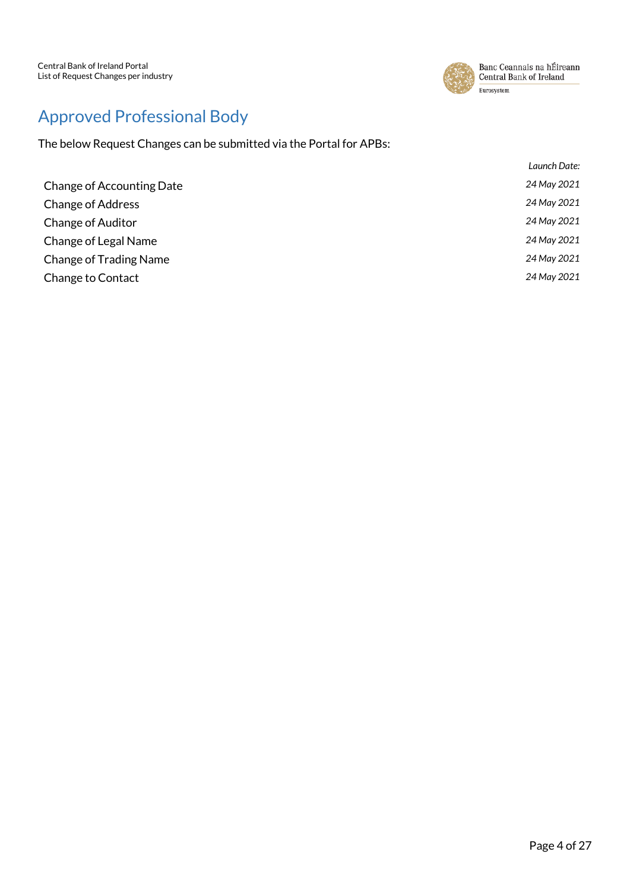

## <span id="page-3-0"></span>Approved Professional Body

|                               | Launch Date: |
|-------------------------------|--------------|
| Change of Accounting Date     | 24 May 2021  |
| <b>Change of Address</b>      | 24 May 2021  |
| <b>Change of Auditor</b>      | 24 May 2021  |
| Change of Legal Name          | 24 May 2021  |
| <b>Change of Trading Name</b> | 24 May 2021  |
| Change to Contact             | 24 May 2021  |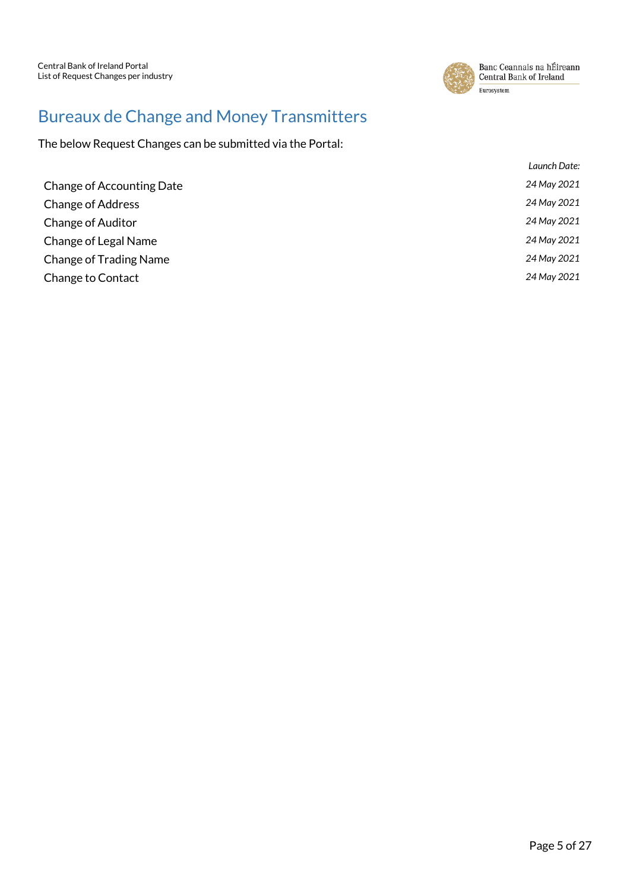

## <span id="page-4-0"></span>Bureaux de Change and Money Transmitters

|                                  | Launch Date: |
|----------------------------------|--------------|
| <b>Change of Accounting Date</b> | 24 May 2021  |
| <b>Change of Address</b>         | 24 May 2021  |
| <b>Change of Auditor</b>         | 24 May 2021  |
| Change of Legal Name             | 24 May 2021  |
| <b>Change of Trading Name</b>    | 24 May 2021  |
| Change to Contact                | 24 May 2021  |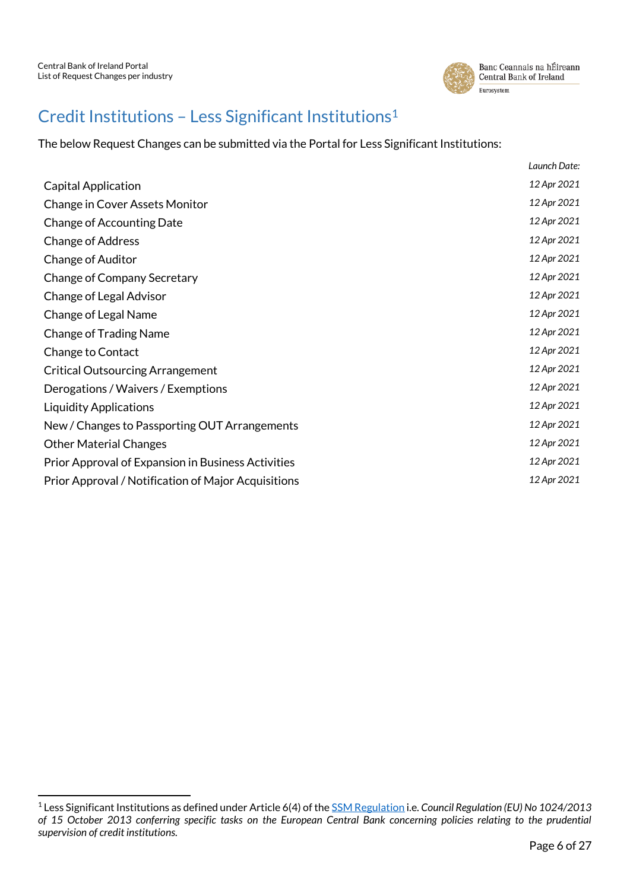1



#### <span id="page-5-0"></span>Credit Institutions – Less Significant Institutions<sup>1</sup>

The below Request Changes can be submitted via the Portal for Less Significant Institutions:

|                                                     | Launch Date: |
|-----------------------------------------------------|--------------|
| <b>Capital Application</b>                          | 12 Apr 2021  |
| <b>Change in Cover Assets Monitor</b>               | 12 Apr 2021  |
| Change of Accounting Date                           | 12 Apr 2021  |
| <b>Change of Address</b>                            | 12 Apr 2021  |
| <b>Change of Auditor</b>                            | 12 Apr 2021  |
| Change of Company Secretary                         | 12 Apr 2021  |
| Change of Legal Advisor                             | 12 Apr 2021  |
| Change of Legal Name                                | 12 Apr 2021  |
| <b>Change of Trading Name</b>                       | 12 Apr 2021  |
| Change to Contact                                   | 12 Apr 2021  |
| <b>Critical Outsourcing Arrangement</b>             | 12 Apr 2021  |
| Derogations / Waivers / Exemptions                  | 12 Apr 2021  |
| <b>Liquidity Applications</b>                       | 12 Apr 2021  |
| New / Changes to Passporting OUT Arrangements       | 12 Apr 2021  |
| <b>Other Material Changes</b>                       | 12 Apr 2021  |
| Prior Approval of Expansion in Business Activities  | 12 Apr 2021  |
| Prior Approval / Notification of Major Acquisitions | 12 Apr 2021  |
|                                                     |              |

<sup>1</sup> Less Significant Institutions as defined under Article 6(4) of th[e SSM Regulation](https://eur-lex.europa.eu/legal-content/EN/TXT/?&uri=CELEX:32013R1024) i.e. *Council Regulation (EU) No 1024/2013 of 15 October 2013 conferring specific tasks on the European Central Bank concerning policies relating to the prudential supervision of credit institutions.*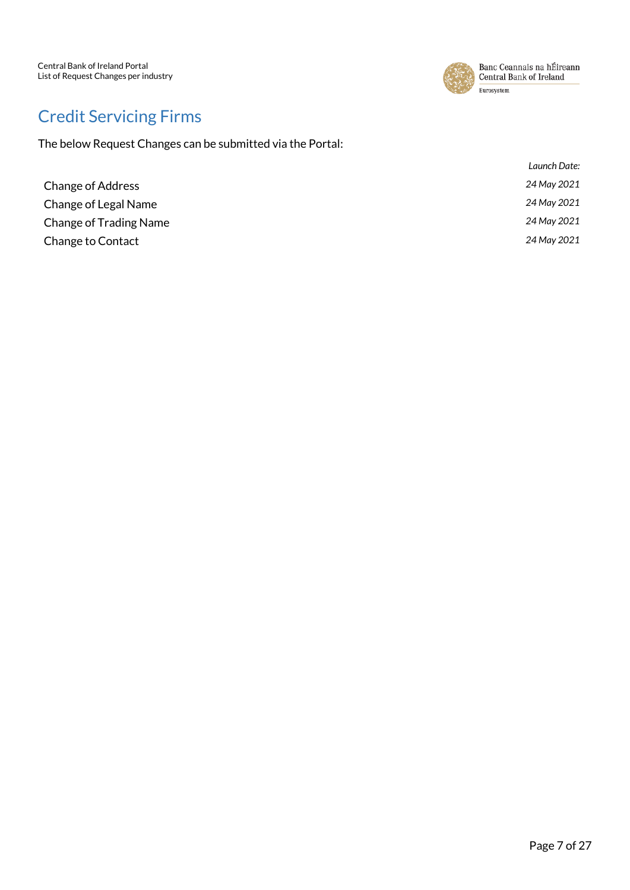

## <span id="page-6-0"></span>Credit Servicing Firms

|                               | Launch Date: |
|-------------------------------|--------------|
| <b>Change of Address</b>      | 24 May 2021  |
| Change of Legal Name          | 24 May 2021  |
| <b>Change of Trading Name</b> | 24 May 2021  |
| Change to Contact             | 24 May 2021  |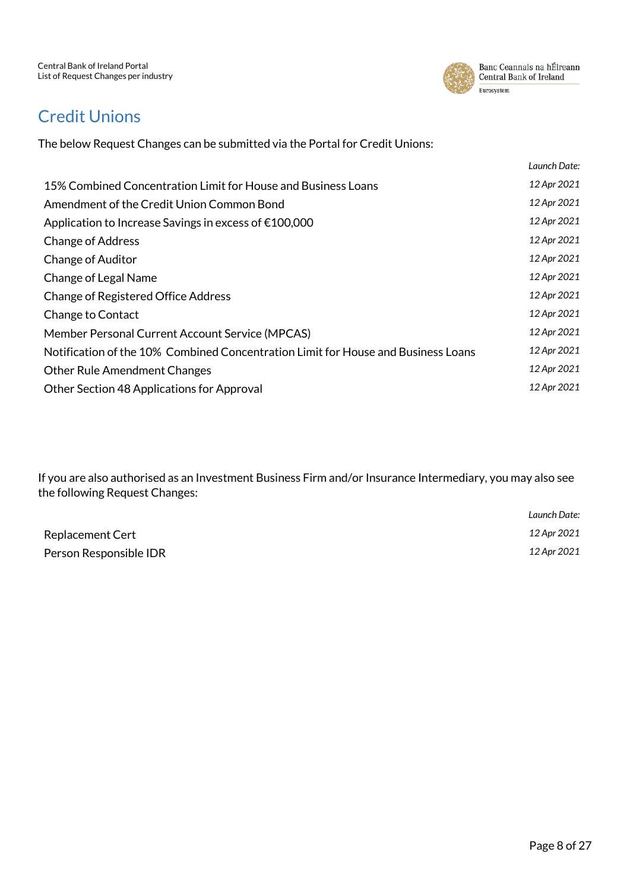

#### <span id="page-7-0"></span>Credit Unions

The below Request Changes can be submitted via the Portal for Credit Unions:

|                                                                                   | Launch Date: |
|-----------------------------------------------------------------------------------|--------------|
| 15% Combined Concentration Limit for House and Business Loans                     | 12 Apr 2021  |
| Amendment of the Credit Union Common Bond                                         | 12 Apr 2021  |
| Application to Increase Savings in excess of €100,000                             | 12 Apr 2021  |
| <b>Change of Address</b>                                                          | 12 Apr 2021  |
| <b>Change of Auditor</b>                                                          | 12 Apr 2021  |
| Change of Legal Name                                                              | 12 Apr 2021  |
| <b>Change of Registered Office Address</b>                                        | 12 Apr 2021  |
| Change to Contact                                                                 | 12 Apr 2021  |
| Member Personal Current Account Service (MPCAS)                                   | 12 Apr 2021  |
| Notification of the 10% Combined Concentration Limit for House and Business Loans | 12 Apr 2021  |
| <b>Other Rule Amendment Changes</b>                                               | 12 Apr 2021  |
| Other Section 48 Applications for Approval                                        | 12 Apr 2021  |

If you are also authorised as an Investment Business Firm and/or Insurance Intermediary, you may also see the following Request Changes:

|                         | Launch Date: |
|-------------------------|--------------|
| <b>Replacement Cert</b> | 12 Apr 2021  |
| Person Responsible IDR  | 12 Apr 2021  |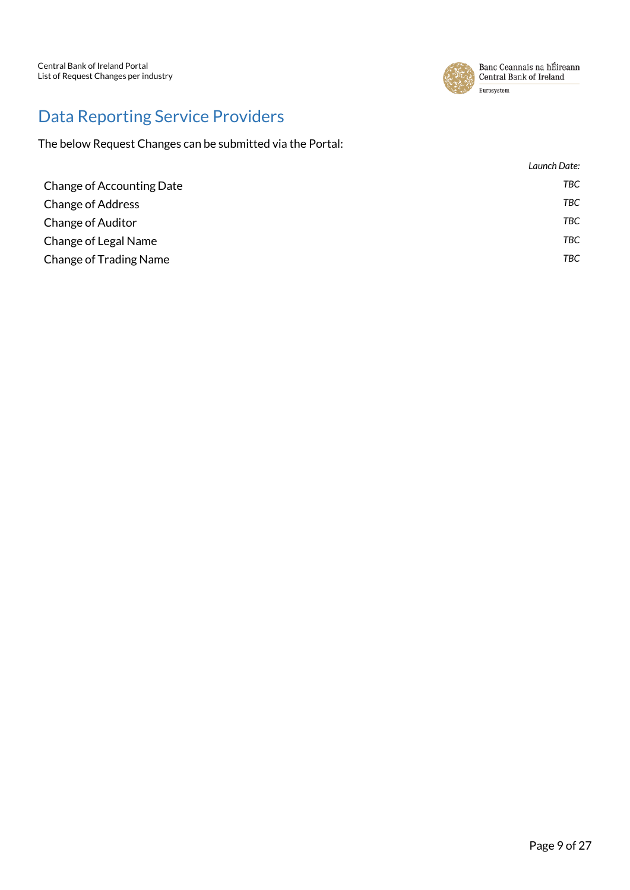

# <span id="page-8-0"></span>Data Reporting Service Providers

|                               | Launch Date: |
|-------------------------------|--------------|
| Change of Accounting Date     | TBC          |
| <b>Change of Address</b>      | TBC          |
| <b>Change of Auditor</b>      | <b>TBC</b>   |
| Change of Legal Name          | <b>TBC</b>   |
| <b>Change of Trading Name</b> | TBC          |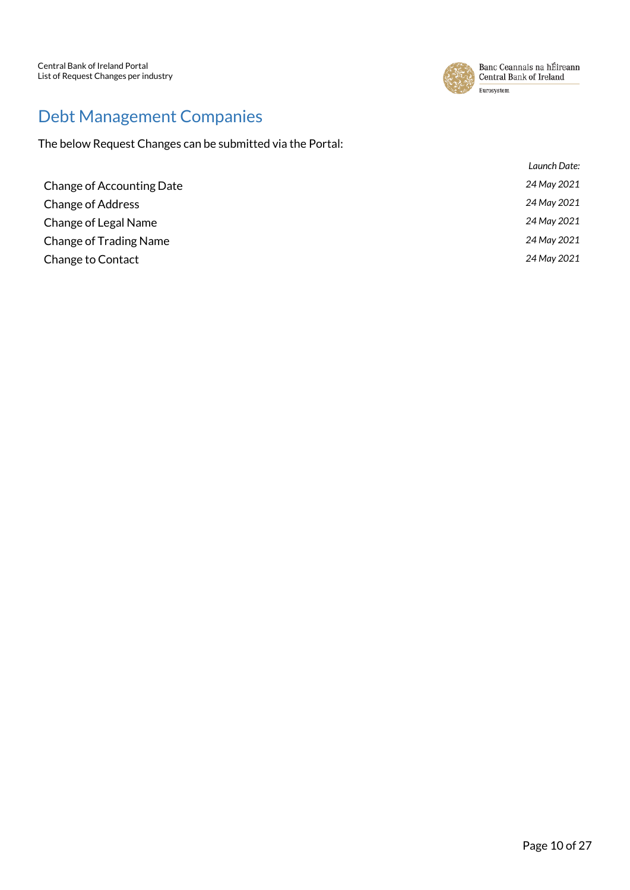

## <span id="page-9-0"></span>Debt Management Companies

|                               | Launch Date: |
|-------------------------------|--------------|
| Change of Accounting Date     | 24 May 2021  |
| <b>Change of Address</b>      | 24 May 2021  |
| Change of Legal Name          | 24 May 2021  |
| <b>Change of Trading Name</b> | 24 May 2021  |
| Change to Contact             | 24 May 2021  |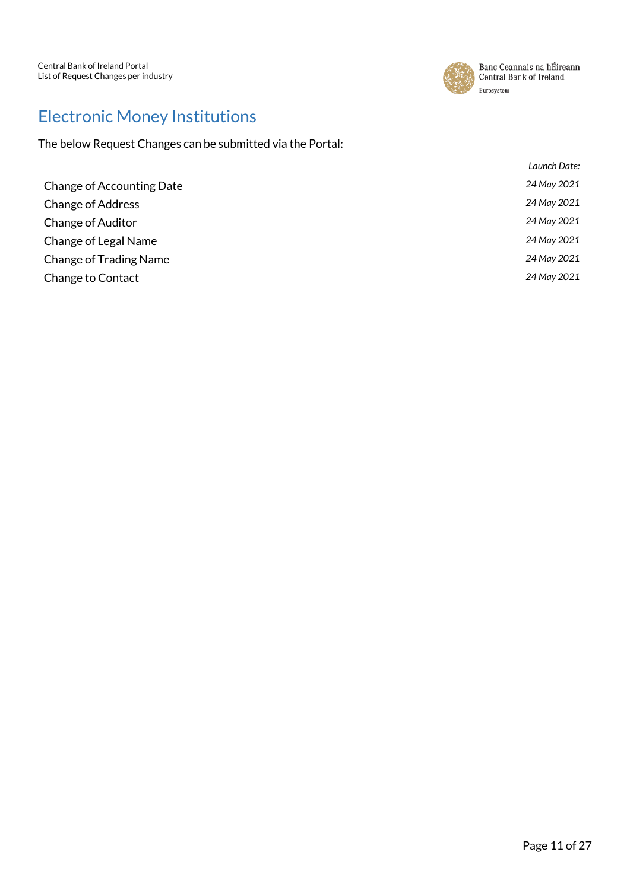

# <span id="page-10-0"></span>Electronic Money Institutions

| Launch Date: |
|--------------|
| 24 May 2021  |
| 24 May 2021  |
| 24 May 2021  |
| 24 May 2021  |
| 24 May 2021  |
| 24 May 2021  |
|              |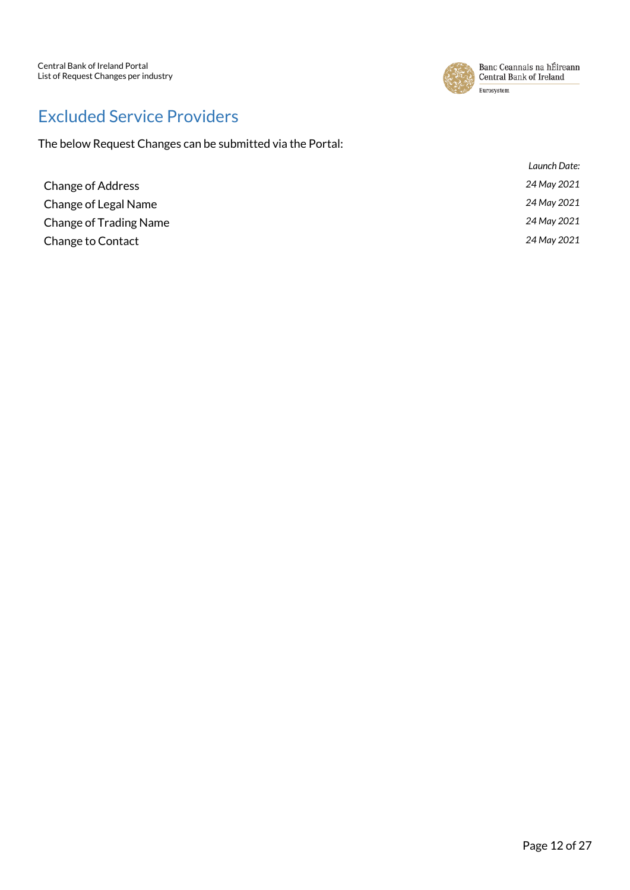

## <span id="page-11-0"></span>Excluded Service Providers

|                               | Launch Date: |
|-------------------------------|--------------|
| <b>Change of Address</b>      | 24 May 2021  |
| Change of Legal Name          | 24 May 2021  |
| <b>Change of Trading Name</b> | 24 May 2021  |
| <b>Change to Contact</b>      | 24 May 2021  |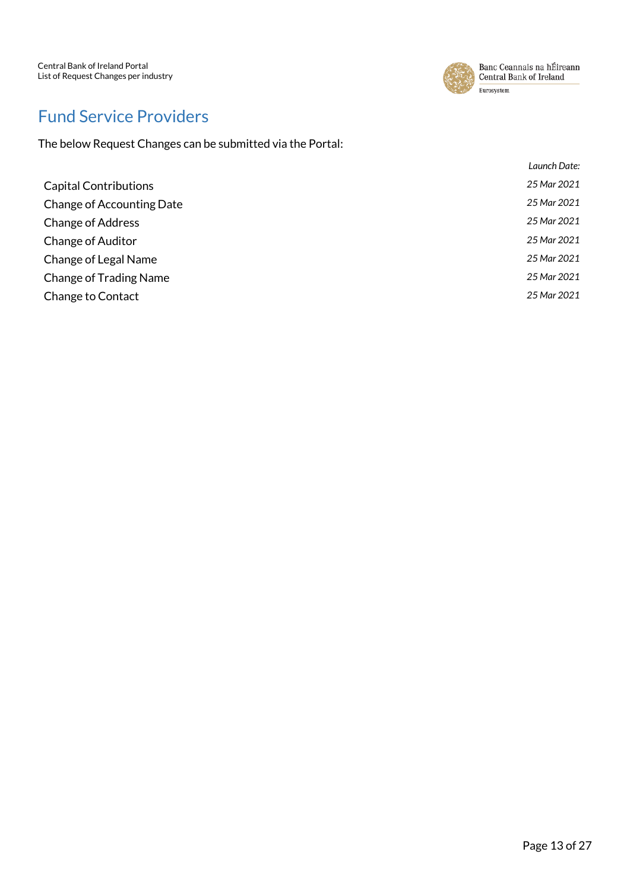

## <span id="page-12-0"></span>Fund Service Providers

|                                  | Launch Date: |
|----------------------------------|--------------|
| <b>Capital Contributions</b>     | 25 Mar 2021  |
| <b>Change of Accounting Date</b> | 25 Mar 2021  |
| <b>Change of Address</b>         | 25 Mar 2021  |
| <b>Change of Auditor</b>         | 25 Mar 2021  |
| Change of Legal Name             | 25 Mar 2021  |
| <b>Change of Trading Name</b>    | 25 Mar 2021  |
| Change to Contact                | 25 Mar 2021  |
|                                  |              |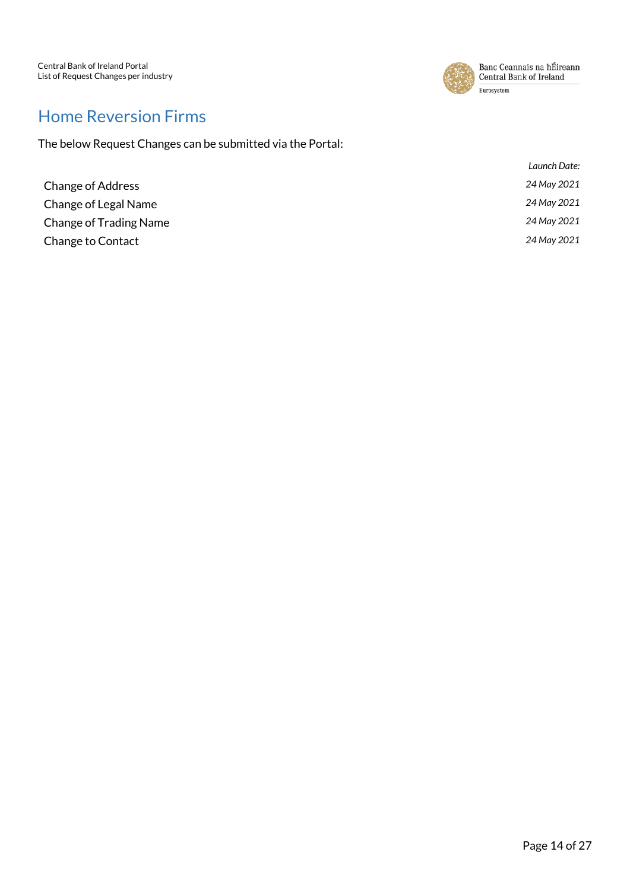

#### <span id="page-13-0"></span>Home Reversion Firms

|                               | Launch Date: |
|-------------------------------|--------------|
| <b>Change of Address</b>      | 24 May 2021  |
| Change of Legal Name          | 24 May 2021  |
| <b>Change of Trading Name</b> | 24 May 2021  |
| Change to Contact             | 24 May 2021  |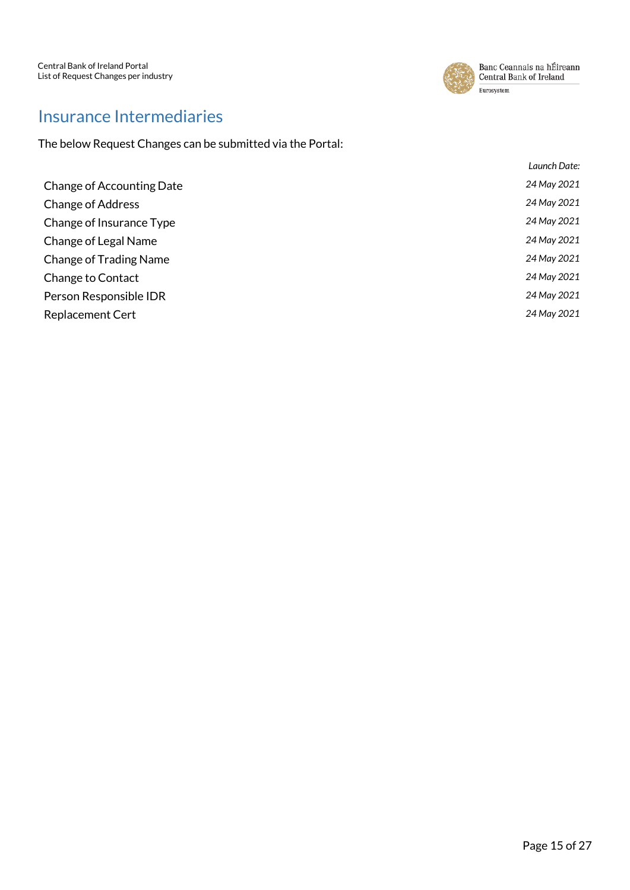

#### <span id="page-14-0"></span>Insurance Intermediaries

|                               | Launch Date: |
|-------------------------------|--------------|
| Change of Accounting Date     | 24 May 2021  |
| <b>Change of Address</b>      | 24 May 2021  |
| Change of Insurance Type      | 24 May 2021  |
| Change of Legal Name          | 24 May 2021  |
| <b>Change of Trading Name</b> | 24 May 2021  |
| Change to Contact             | 24 May 2021  |
| Person Responsible IDR        | 24 May 2021  |
| <b>Replacement Cert</b>       | 24 May 2021  |
|                               |              |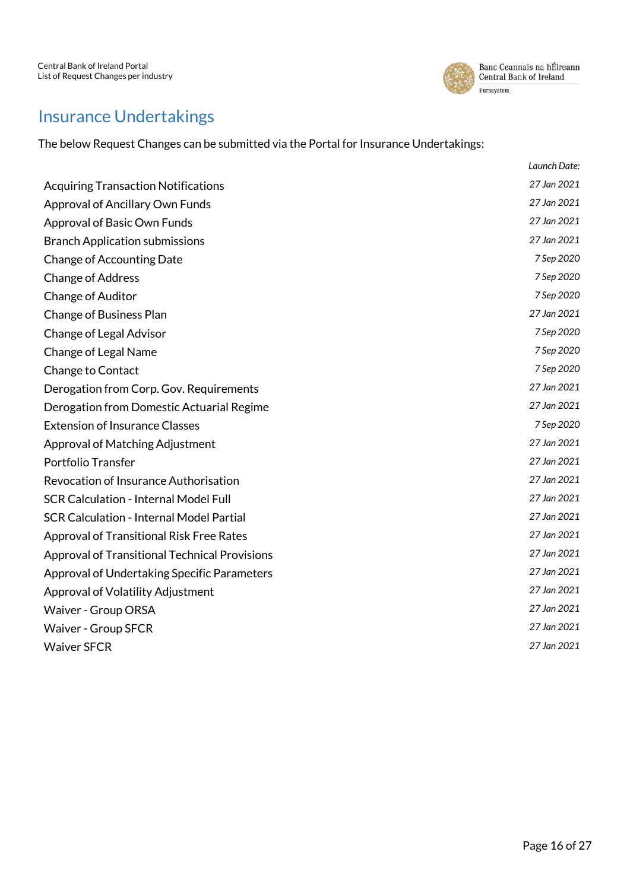

#### <span id="page-15-0"></span>Insurance Undertakings

The below Request Changes can be submitted via the Portal for Insurance Undertakings:

|                                                      | Launch Date: |
|------------------------------------------------------|--------------|
| <b>Acquiring Transaction Notifications</b>           | 27 Jan 2021  |
| Approval of Ancillary Own Funds                      | 27 Jan 2021  |
| Approval of Basic Own Funds                          | 27 Jan 2021  |
| <b>Branch Application submissions</b>                | 27 Jan 2021  |
| <b>Change of Accounting Date</b>                     | 7 Sep 2020   |
| <b>Change of Address</b>                             | 7 Sep 2020   |
| Change of Auditor                                    | 7 Sep 2020   |
| <b>Change of Business Plan</b>                       | 27 Jan 2021  |
| Change of Legal Advisor                              | 7 Sep 2020   |
| Change of Legal Name                                 | 7 Sep 2020   |
| <b>Change to Contact</b>                             | 7 Sep 2020   |
| Derogation from Corp. Gov. Requirements              | 27 Jan 2021  |
| Derogation from Domestic Actuarial Regime            | 27 Jan 2021  |
| <b>Extension of Insurance Classes</b>                | 7 Sep 2020   |
| Approval of Matching Adjustment                      | 27 Jan 2021  |
| Portfolio Transfer                                   | 27 Jan 2021  |
| Revocation of Insurance Authorisation                | 27 Jan 2021  |
| <b>SCR Calculation - Internal Model Full</b>         | 27 Jan 2021  |
| <b>SCR Calculation - Internal Model Partial</b>      | 27 Jan 2021  |
| <b>Approval of Transitional Risk Free Rates</b>      | 27 Jan 2021  |
| <b>Approval of Transitional Technical Provisions</b> | 27 Jan 2021  |
| <b>Approval of Undertaking Specific Parameters</b>   | 27 Jan 2021  |
| Approval of Volatility Adjustment                    | 27 Jan 2021  |
| Waiver - Group ORSA                                  | 27 Jan 2021  |
| <b>Waiver - Group SFCR</b>                           | 27 Jan 2021  |
| <b>Waiver SFCR</b>                                   | 27 Jan 2021  |
|                                                      |              |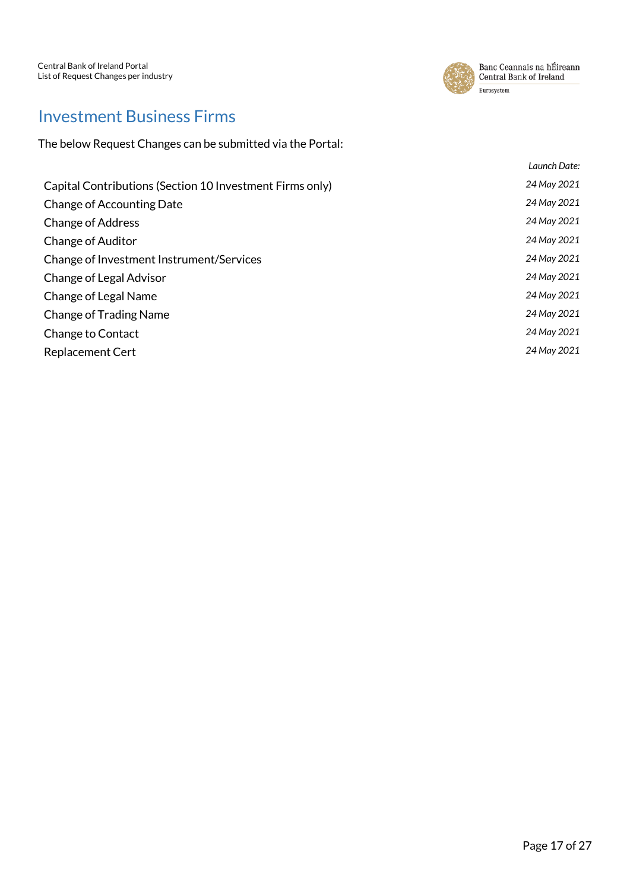

#### <span id="page-16-0"></span>Investment Business Firms

|                                                          | Launch Date: |
|----------------------------------------------------------|--------------|
| Capital Contributions (Section 10 Investment Firms only) | 24 May 2021  |
| Change of Accounting Date                                | 24 May 2021  |
| <b>Change of Address</b>                                 | 24 May 2021  |
| <b>Change of Auditor</b>                                 | 24 May 2021  |
| Change of Investment Instrument/Services                 | 24 May 2021  |
| Change of Legal Advisor                                  | 24 May 2021  |
| Change of Legal Name                                     | 24 May 2021  |
| <b>Change of Trading Name</b>                            | 24 May 2021  |
| <b>Change to Contact</b>                                 | 24 May 2021  |
| <b>Replacement Cert</b>                                  | 24 May 2021  |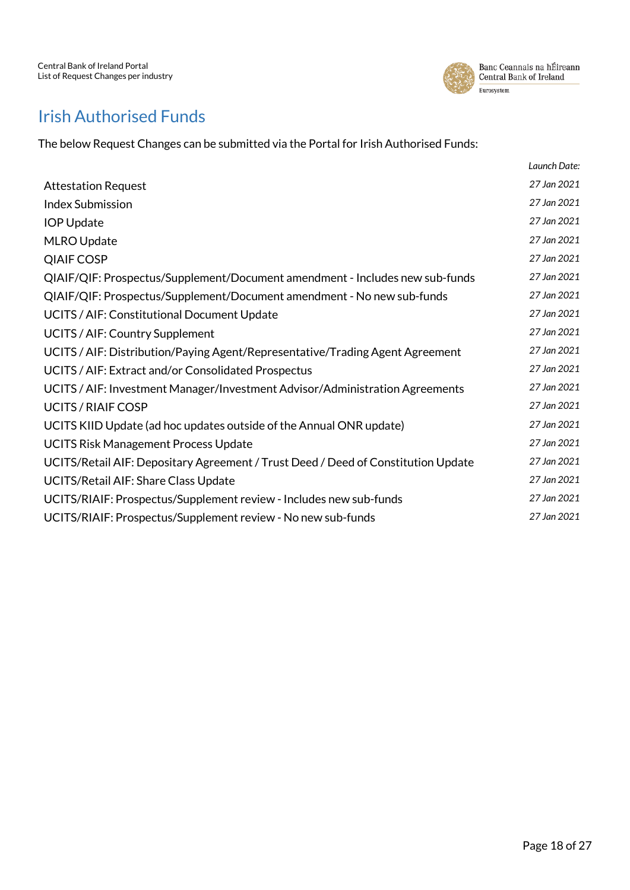

## <span id="page-17-0"></span>Irish Authorised Funds

The below Request Changes can be submitted via the Portal for Irish Authorised Funds:

|                                                                                   | Launch Date: |
|-----------------------------------------------------------------------------------|--------------|
| <b>Attestation Request</b>                                                        | 27 Jan 2021  |
| <b>Index Submission</b>                                                           | 27 Jan 2021  |
| <b>IOP Update</b>                                                                 | 27 Jan 2021  |
| MLRO Update                                                                       | 27 Jan 2021  |
| <b>QIAIF COSP</b>                                                                 | 27 Jan 2021  |
| QIAIF/QIF: Prospectus/Supplement/Document amendment - Includes new sub-funds      | 27 Jan 2021  |
| QIAIF/QIF: Prospectus/Supplement/Document amendment - No new sub-funds            | 27 Jan 2021  |
| UCITS / AIF: Constitutional Document Update                                       | 27 Jan 2021  |
| UCITS / AIF: Country Supplement                                                   | 27 Jan 2021  |
| UCITS / AIF: Distribution/Paying Agent/Representative/Trading Agent Agreement     | 27 Jan 2021  |
| UCITS / AIF: Extract and/or Consolidated Prospectus                               | 27 Jan 2021  |
| UCITS / AIF: Investment Manager/Investment Advisor/Administration Agreements      | 27 Jan 2021  |
| <b>UCITS / RIAIF COSP</b>                                                         | 27 Jan 2021  |
| UCITS KIID Update (ad hoc updates outside of the Annual ONR update)               | 27 Jan 2021  |
| <b>UCITS Risk Management Process Update</b>                                       | 27 Jan 2021  |
| UCITS/Retail AIF: Depositary Agreement / Trust Deed / Deed of Constitution Update | 27 Jan 2021  |
| UCITS/Retail AIF: Share Class Update                                              | 27 Jan 2021  |
| UCITS/RIAIF: Prospectus/Supplement review - Includes new sub-funds                | 27 Jan 2021  |
| UCITS/RIAIF: Prospectus/Supplement review - No new sub-funds                      | 27 Jan 2021  |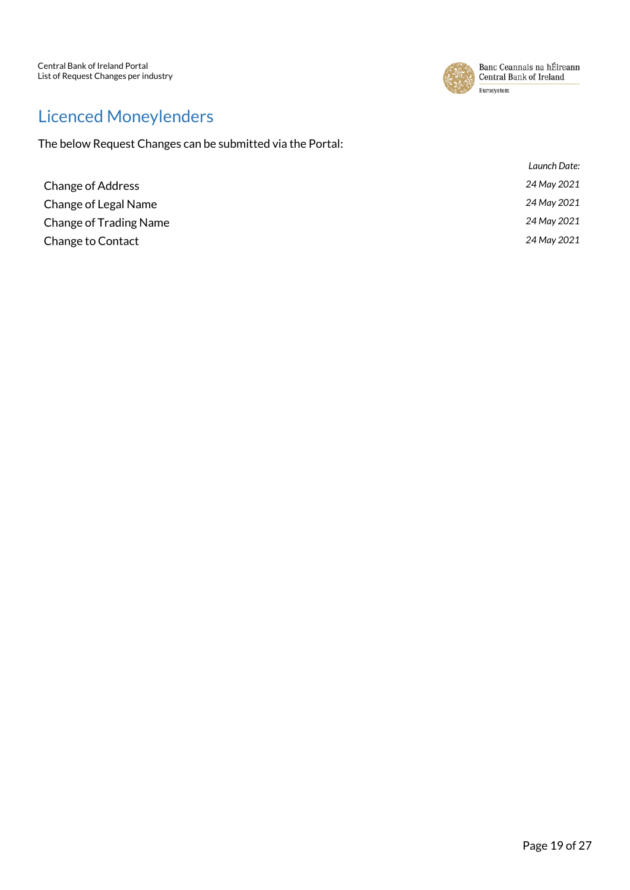

## <span id="page-18-0"></span>Licenced Moneylenders

|                               | Launch Date: |
|-------------------------------|--------------|
| <b>Change of Address</b>      | 24 May 2021  |
| Change of Legal Name          | 24 May 2021  |
| <b>Change of Trading Name</b> | 24 May 2021  |
| <b>Change to Contact</b>      | 24 May 2021  |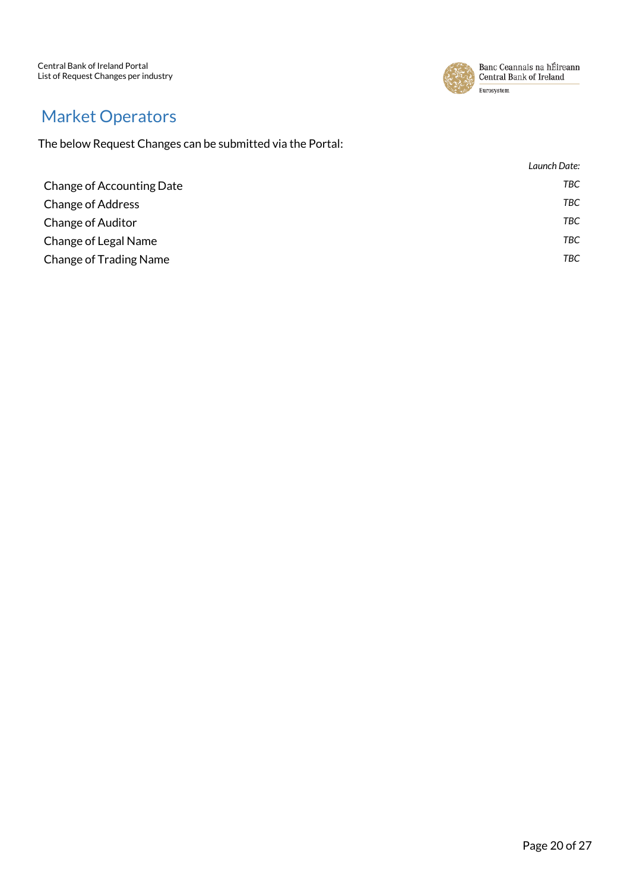Central Bank of Ireland Portal List of Request Changes per industry



Banc Ceannais na hÉireann Central Bank of Ireland Eurosystem

## <span id="page-19-0"></span>Market Operators

|                               | Launch Date: |
|-------------------------------|--------------|
| Change of Accounting Date     | TBC          |
| <b>Change of Address</b>      | TBC          |
| <b>Change of Auditor</b>      | <b>TBC</b>   |
| Change of Legal Name          | <b>TBC</b>   |
| <b>Change of Trading Name</b> | TBC          |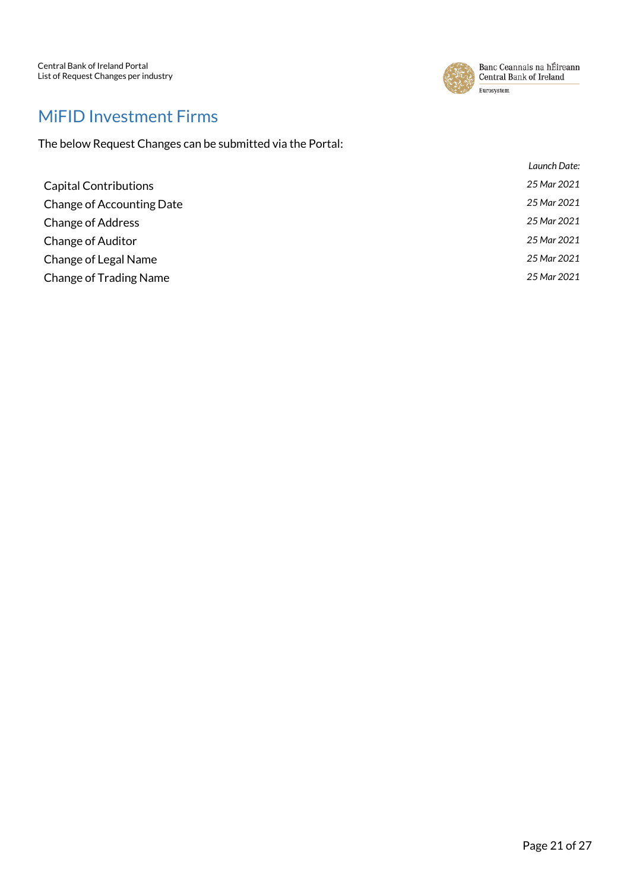

## <span id="page-20-0"></span>MiFID Investment Firms

|                                  | Launch Date: |
|----------------------------------|--------------|
| <b>Capital Contributions</b>     | 25 Mar 2021  |
| <b>Change of Accounting Date</b> | 25 Mar 2021  |
| <b>Change of Address</b>         | 25 Mar 2021  |
| <b>Change of Auditor</b>         | 25 Mar 2021  |
| Change of Legal Name             | 25 Mar 2021  |
| <b>Change of Trading Name</b>    | 25 Mar 2021  |
|                                  |              |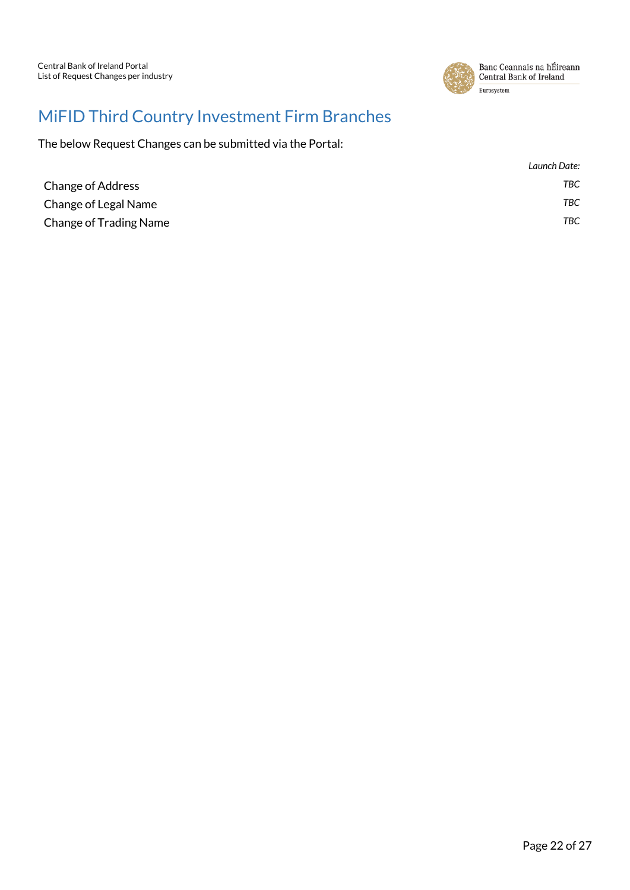

## <span id="page-21-0"></span>MiFID Third Country Investment Firm Branches

|                               | Launch Date: |
|-------------------------------|--------------|
| <b>Change of Address</b>      | TBC          |
| Change of Legal Name          | TBC.         |
| <b>Change of Trading Name</b> | TBC          |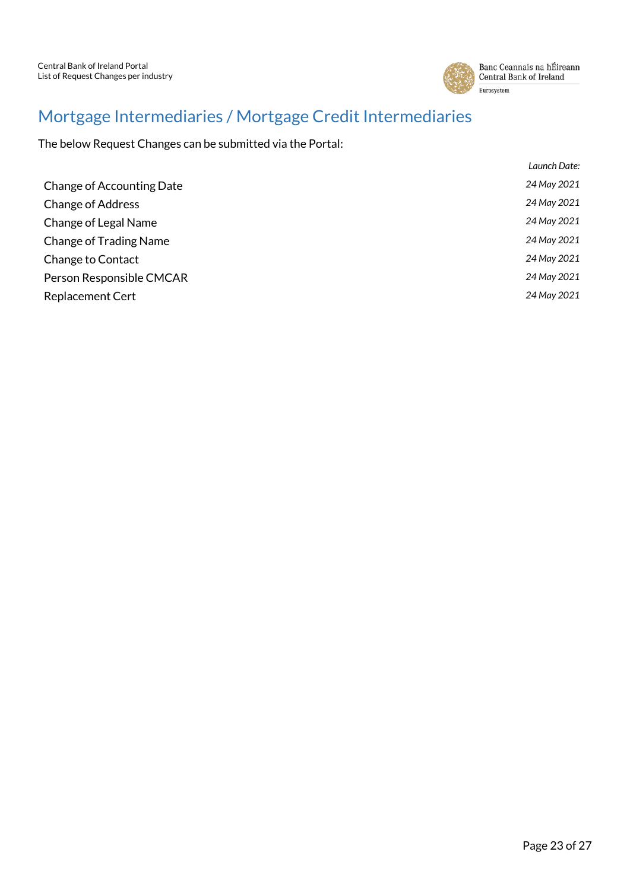

## <span id="page-22-0"></span>Mortgage Intermediaries / Mortgage Credit Intermediaries

|                               | Launch Date: |
|-------------------------------|--------------|
| Change of Accounting Date     | 24 May 2021  |
| <b>Change of Address</b>      | 24 May 2021  |
| Change of Legal Name          | 24 May 2021  |
| <b>Change of Trading Name</b> | 24 May 2021  |
| Change to Contact             | 24 May 2021  |
| Person Responsible CMCAR      | 24 May 2021  |
| <b>Replacement Cert</b>       | 24 May 2021  |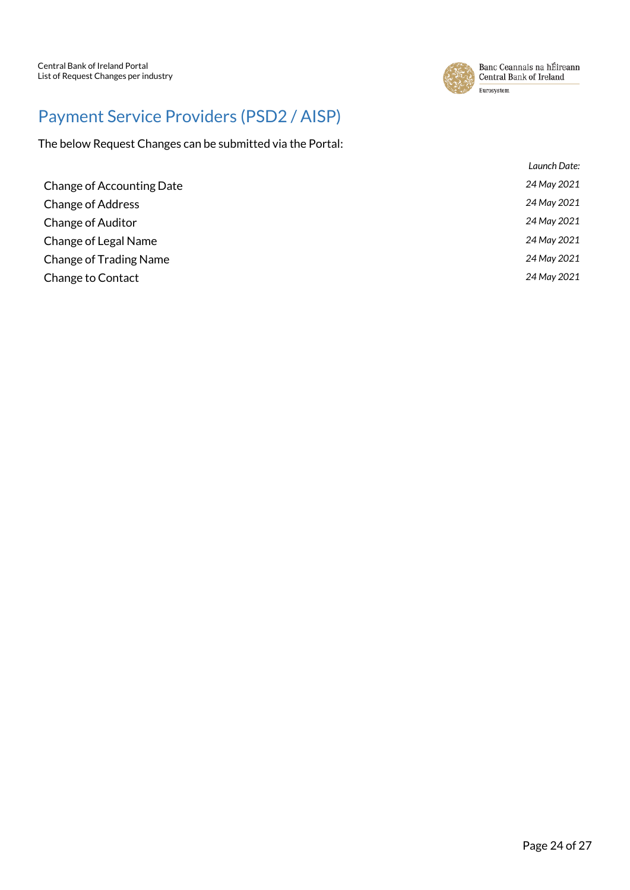

# <span id="page-23-0"></span>Payment Service Providers (PSD2 / AISP)

|                                  | Launch Date: |
|----------------------------------|--------------|
| <b>Change of Accounting Date</b> | 24 May 2021  |
| <b>Change of Address</b>         | 24 May 2021  |
| <b>Change of Auditor</b>         | 24 May 2021  |
| Change of Legal Name             | 24 May 2021  |
| <b>Change of Trading Name</b>    | 24 May 2021  |
| Change to Contact                | 24 May 2021  |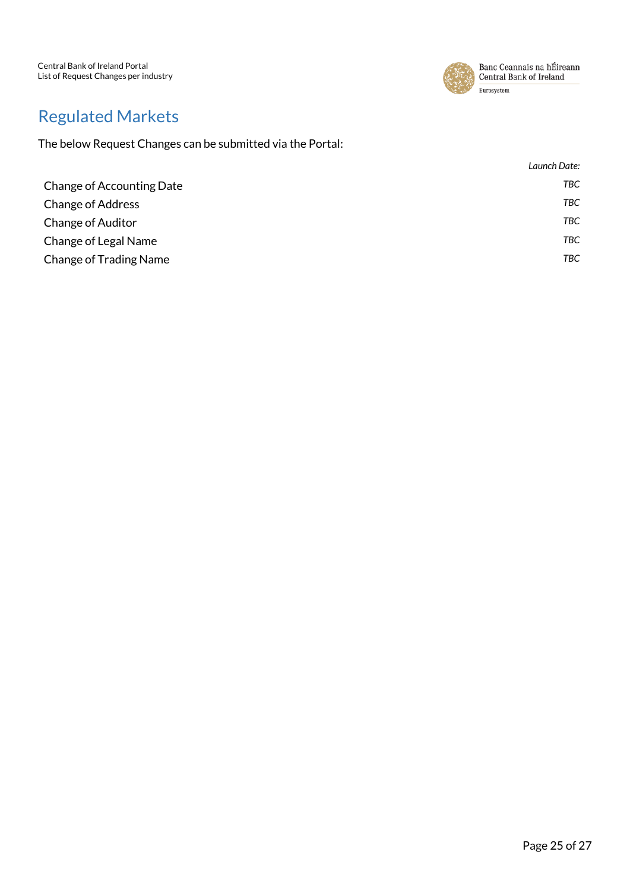Central Bank of Ireland Portal List of Request Changes per industry



Banc Ceannais na hÉireann Central Bank of Ireland Eurosystem

## <span id="page-24-0"></span>Regulated Markets

|                               | Launch Date: |
|-------------------------------|--------------|
| Change of Accounting Date     | TBC          |
| <b>Change of Address</b>      | TBC          |
| <b>Change of Auditor</b>      | <b>TBC</b>   |
| Change of Legal Name          | <b>TBC</b>   |
| <b>Change of Trading Name</b> | TBC          |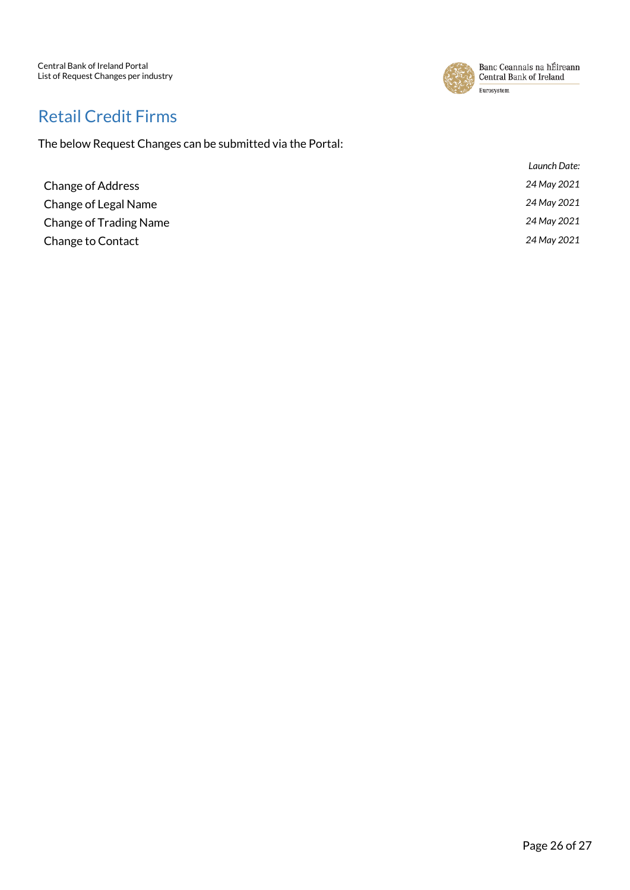Central Bank of Ireland Portal List of Request Changes per industry



Banc Ceannais na hÉireann Central Bank of Ireland Eurosystem

#### <span id="page-25-0"></span>Retail Credit Firms

|                          | Launch Date: |
|--------------------------|--------------|
| <b>Change of Address</b> | 24 May 2021  |
| Change of Legal Name     | 24 May 2021  |
| Change of Trading Name   | 24 May 2021  |
| Change to Contact        | 24 May 2021  |